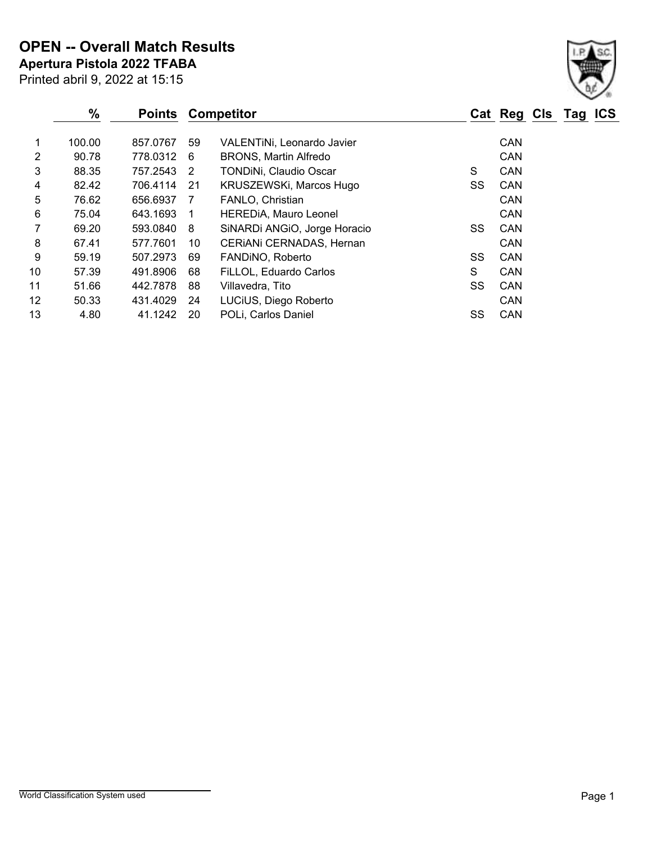**Apertura Pistola 2022 TFABA OPEN -- Overall Match Results**

|    | %      | <b>Points</b> |                | <b>Competitor</b>             |    | <b>Cat Reg Cls</b> | Tag | <b>ICS</b> |
|----|--------|---------------|----------------|-------------------------------|----|--------------------|-----|------------|
| 1  | 100.00 | 857.0767      | 59             | VALENTINI, Leonardo Javier    |    | <b>CAN</b>         |     |            |
| 2  | 90.78  | 778.0312 6    |                | <b>BRONS, Martin Alfredo</b>  |    | <b>CAN</b>         |     |            |
| 3  | 88.35  | 757.2543 2    |                | <b>TONDINI, Claudio Oscar</b> | S  | <b>CAN</b>         |     |            |
| 4  | 82.42  | 706.4114      | -21            | KRUSZEWSKi, Marcos Hugo       | SS | <b>CAN</b>         |     |            |
| 5  | 76.62  | 656.6937      | - 7            | FANLO, Christian              |    | <b>CAN</b>         |     |            |
| 6  | 75.04  | 643.1693      | $\overline{1}$ | HEREDIA, Mauro Leonel         |    | <b>CAN</b>         |     |            |
| 7  | 69.20  | 593.0840      | - 8            | SiNARDi ANGIO, Jorge Horacio  | SS | <b>CAN</b>         |     |            |
| 8  | 67.41  | 577.7601      | 10             | CERIANI CERNADAS, Hernan      |    | <b>CAN</b>         |     |            |
| 9  | 59.19  | 507.2973      | 69             | FANDINO, Roberto              | SS | <b>CAN</b>         |     |            |
| 10 | 57.39  | 491.8906      | 68             | FiLLOL, Eduardo Carlos        | S  | <b>CAN</b>         |     |            |
| 11 | 51.66  | 442.7878      | 88             | Villavedra, Tito              | SS | <b>CAN</b>         |     |            |
| 12 | 50.33  | 431.4029      | 24             | LUCIUS, Diego Roberto         |    | <b>CAN</b>         |     |            |
| 13 | 4.80   | 41.1242       | 20             | POLi, Carlos Daniel           | SS | <b>CAN</b>         |     |            |

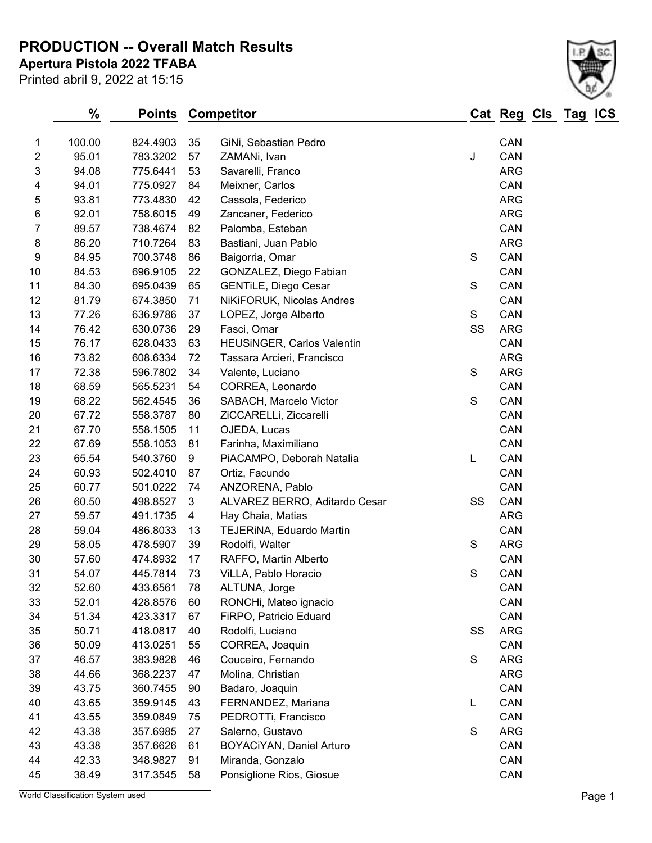**PRODUCTION -- Overall Match Results**

**Apertura Pistola 2022 TFABA**

Printed abril 9, 2022 at 15:15



|                  | %      | <b>Points</b> |    | <b>Competitor</b>             |             | Cat Reg Cls Tag |  | <b>ICS</b> |
|------------------|--------|---------------|----|-------------------------------|-------------|-----------------|--|------------|
| $\mathbf{1}$     | 100.00 | 824.4903      | 35 | GiNi, Sebastian Pedro         |             | CAN             |  |            |
| $\overline{2}$   | 95.01  | 783.3202      | 57 | ZAMANi, Ivan                  | J           | CAN             |  |            |
| 3                | 94.08  | 775.6441      | 53 | Savarelli, Franco             |             | <b>ARG</b>      |  |            |
| 4                | 94.01  | 775.0927      | 84 | Meixner, Carlos               |             | CAN             |  |            |
| 5                | 93.81  | 773.4830      | 42 | Cassola, Federico             |             | <b>ARG</b>      |  |            |
| $\,6$            | 92.01  | 758.6015      | 49 | Zancaner, Federico            |             | <b>ARG</b>      |  |            |
| $\overline{7}$   | 89.57  | 738.4674      | 82 | Palomba, Esteban              |             | CAN             |  |            |
| $\bf 8$          | 86.20  | 710.7264      | 83 | Bastiani, Juan Pablo          |             | <b>ARG</b>      |  |            |
| $\boldsymbol{9}$ | 84.95  | 700.3748      | 86 | Baigorria, Omar               | S           | CAN             |  |            |
| 10               | 84.53  | 696.9105      | 22 | GONZALEZ, Diego Fabian        |             | CAN             |  |            |
| 11               | 84.30  | 695.0439      | 65 | <b>GENTILE, Diego Cesar</b>   | $\mathbf S$ | CAN             |  |            |
| 12               | 81.79  | 674.3850      | 71 | NiKiFORUK, Nicolas Andres     |             | CAN             |  |            |
| 13               | 77.26  | 636.9786      | 37 | LOPEZ, Jorge Alberto          | S           | CAN             |  |            |
| 14               | 76.42  | 630.0736      | 29 | Fasci, Omar                   | SS          | <b>ARG</b>      |  |            |
| 15               | 76.17  | 628.0433      | 63 | HEUSINGER, Carlos Valentin    |             | CAN             |  |            |
| 16               | 73.82  | 608.6334      | 72 | Tassara Arcieri, Francisco    |             | <b>ARG</b>      |  |            |
| 17               | 72.38  | 596.7802      | 34 | Valente, Luciano              | S           | <b>ARG</b>      |  |            |
| 18               | 68.59  | 565.5231      | 54 | CORREA, Leonardo              |             | CAN             |  |            |
| 19               | 68.22  | 562.4545      | 36 | SABACH, Marcelo Victor        | $\mathbf S$ | CAN             |  |            |
| 20               | 67.72  | 558.3787      | 80 | ZiCCARELLi, Ziccarelli        |             | CAN             |  |            |
| 21               | 67.70  | 558.1505      | 11 | OJEDA, Lucas                  |             | CAN             |  |            |
| 22               | 67.69  | 558.1053      | 81 | Farinha, Maximiliano          |             | CAN             |  |            |
| 23               | 65.54  | 540.3760      | 9  | PiACAMPO, Deborah Natalia     | L           | CAN             |  |            |
| 24               | 60.93  | 502.4010      | 87 | Ortiz, Facundo                |             | CAN             |  |            |
| 25               | 60.77  | 501.0222      | 74 | ANZORENA, Pablo               |             | CAN             |  |            |
| 26               | 60.50  | 498.8527      | 3  | ALVAREZ BERRO, Aditardo Cesar | SS          | CAN             |  |            |
| 27               | 59.57  | 491.1735      | 4  | Hay Chaia, Matias             |             | <b>ARG</b>      |  |            |
| 28               | 59.04  | 486.8033      | 13 | TEJERINA, Eduardo Martin      |             | CAN             |  |            |
| 29               | 58.05  | 478.5907      | 39 | Rodolfi, Walter               | S           | <b>ARG</b>      |  |            |
| 30               | 57.60  | 474.8932      | 17 | RAFFO, Martin Alberto         |             | CAN             |  |            |
| 31               | 54.07  | 445.7814      | 73 | ViLLA, Pablo Horacio          | S           | CAN             |  |            |
| 32               | 52.60  | 433.6561      | 78 | ALTUNA, Jorge                 |             | CAN             |  |            |
| 33               | 52.01  | 428.8576      | 60 | RONCHi, Mateo ignacio         |             | CAN             |  |            |
| 34               | 51.34  | 423.3317      | 67 | FiRPO, Patricio Eduard        |             | CAN             |  |            |
| 35               | 50.71  | 418.0817      | 40 | Rodolfi, Luciano              | SS          | <b>ARG</b>      |  |            |
| 36               | 50.09  | 413.0251      | 55 | CORREA, Joaquin               |             | CAN             |  |            |
| 37               | 46.57  | 383.9828      | 46 | Couceiro, Fernando            | $\mathbf S$ | <b>ARG</b>      |  |            |
| 38               | 44.66  | 368.2237      | 47 | Molina, Christian             |             | <b>ARG</b>      |  |            |
| 39               | 43.75  | 360.7455      | 90 | Badaro, Joaquin               |             | CAN             |  |            |
| 40               | 43.65  | 359.9145      | 43 | FERNANDEZ, Mariana            | L           | CAN             |  |            |
| 41               | 43.55  | 359.0849      | 75 | PEDROTTi, Francisco           |             | CAN             |  |            |
| 42               | 43.38  | 357.6985      | 27 | Salerno, Gustavo              | S           | <b>ARG</b>      |  |            |
| 43               | 43.38  | 357.6626      | 61 | BOYACiYAN, Daniel Arturo      |             | CAN             |  |            |
| 44               | 42.33  | 348.9827      | 91 | Miranda, Gonzalo              |             | CAN             |  |            |
| 45               | 38.49  | 317.3545      | 58 | Ponsiglione Rios, Giosue      |             | CAN             |  |            |

World Classification System used **Page 1**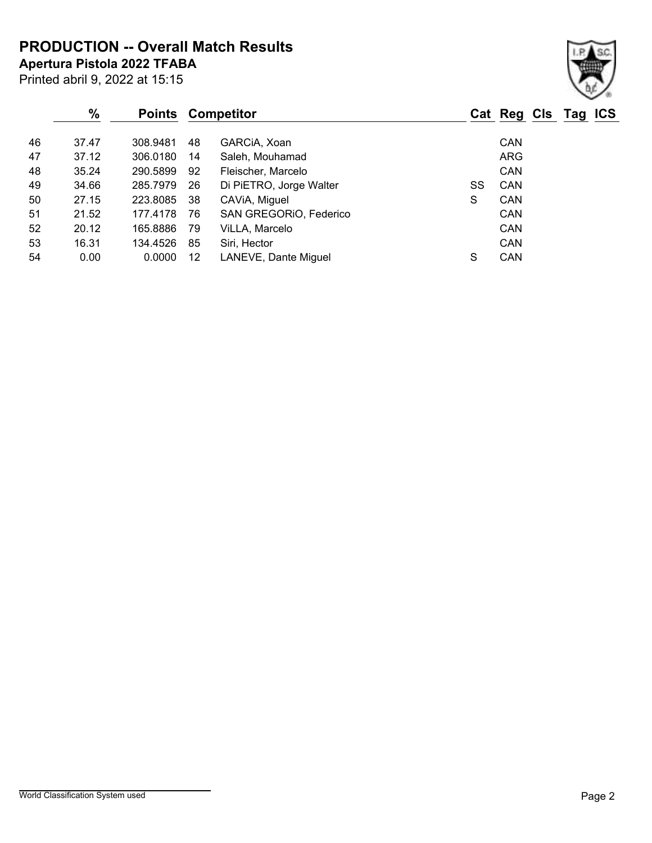**PRODUCTION -- Overall Match Results**

**Apertura Pistola 2022 TFABA**

| × |  |
|---|--|

| $\%$  | <b>Points</b> |                   |                         |                   |            | Tag | <b>ICS</b>  |
|-------|---------------|-------------------|-------------------------|-------------------|------------|-----|-------------|
| 37.47 | 308.9481      | 48                | GARCIA, Xoan            |                   | <b>CAN</b> |     |             |
| 37.12 | 306.0180      | 14                | Saleh, Mouhamad         |                   | ARG        |     |             |
| 35.24 | 290.5899      | 92                | Fleischer, Marcelo      |                   | <b>CAN</b> |     |             |
| 34.66 | 285.7979      | 26                | Di PiETRO, Jorge Walter | SS                | CAN        |     |             |
| 27.15 | 223.8085      | 38                | CAVIA, Miguel           | S                 | <b>CAN</b> |     |             |
| 21.52 | 177.4178      | 76                | SAN GREGORIO, Federico  |                   | <b>CAN</b> |     |             |
| 20.12 | 165.8886      | 79                | ViLLA, Marcelo          |                   | <b>CAN</b> |     |             |
| 16.31 | 134.4526      | 85                | Siri, Hector            |                   | <b>CAN</b> |     |             |
| 0.00  | 0.0000        | $12 \overline{ }$ | LANEVE, Dante Miguel    | S                 | CAN        |     |             |
|       |               |                   |                         | <b>Competitor</b> |            |     | Cat Reg Cls |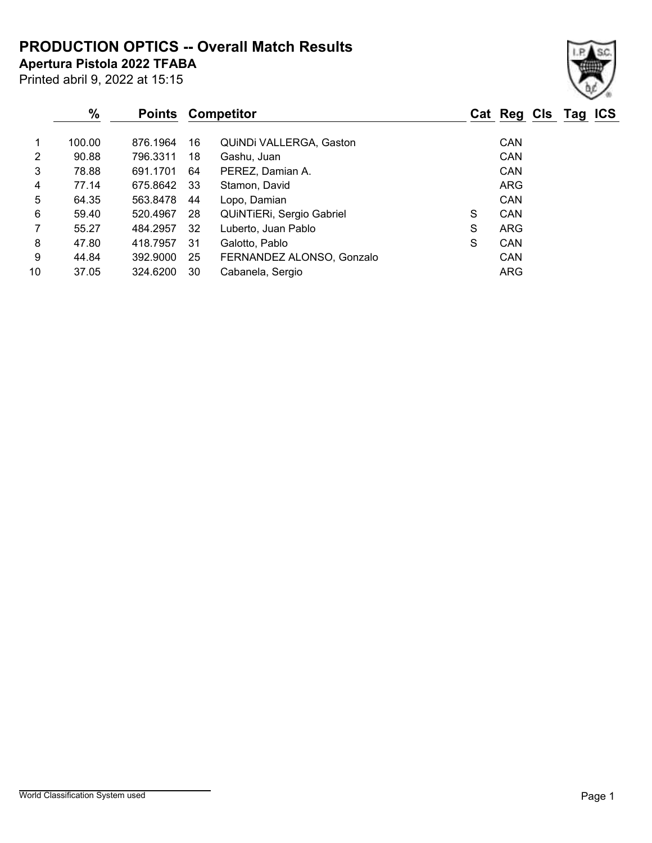# **PRODUCTION OPTICS -- Overall Match Results**

**Apertura Pistola 2022 TFABA**

|    | $\%$   | <b>Points</b> |     | <b>Competitor</b>         |   | Cat Reg Cls Tag ICS |  |
|----|--------|---------------|-----|---------------------------|---|---------------------|--|
|    | 100.00 | 876.1964      | 16  | QUINDI VALLERGA, Gaston   |   | <b>CAN</b>          |  |
| 2  | 90.88  | 796.3311      | 18  | Gashu, Juan               |   | <b>CAN</b>          |  |
| 3  | 78.88  | 691.1701      | 64  | PEREZ, Damian A.          |   | <b>CAN</b>          |  |
| 4  | 77.14  | 675.8642      | -33 | Stamon, David             |   | <b>ARG</b>          |  |
| 5  | 64.35  | 563.8478      | 44  | Lopo, Damian              |   | <b>CAN</b>          |  |
| 6  | 59.40  | 520.4967      | -28 | QUINTIERI, Sergio Gabriel | S | <b>CAN</b>          |  |
|    | 55.27  | 484.2957      | -32 | Luberto, Juan Pablo       | S | <b>ARG</b>          |  |
| 8  | 47.80  | 418.7957      | -31 | Galotto, Pablo            | S | CAN                 |  |
| 9  | 44.84  | 392.9000      | 25  | FERNANDEZ ALONSO, Gonzalo |   | <b>CAN</b>          |  |
| 10 | 37.05  | 324.6200      | 30  | Cabanela, Sergio          |   | <b>ARG</b>          |  |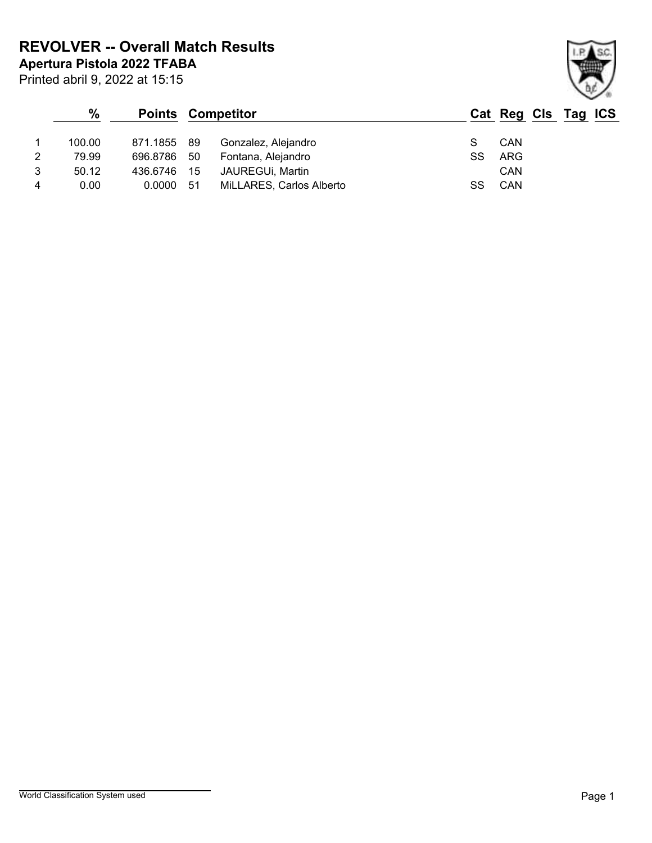**Apertura Pistola 2022 TFABA REVOLVER -- Overall Match Results**

Printed abril 9, 2022 at 15:15

### **% Points Competitor Cat Reg Cls Tag ICS** 1 100.00 871.1855 89 Gonzalez, Alejandro S CAN 2 79.99 696.8786 50 Fontana, Alejandro SS ARG 3 50.12 436.6746 15 JAUREGUi, Martin CAN 4 0.00 0.0000 51 MiLLARES, Carlos Alberto SS CAN

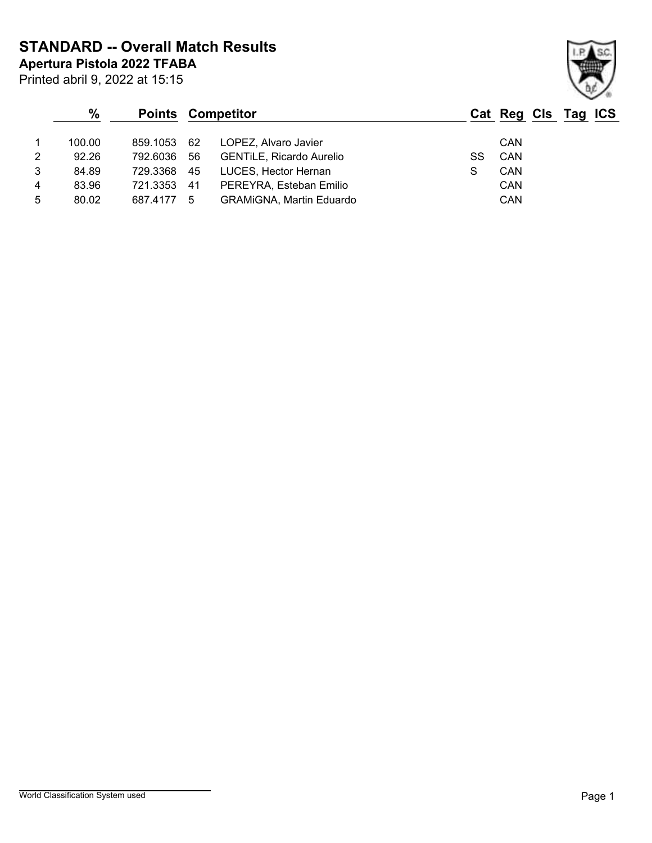**STANDARD -- Overall Match Results**

**Apertura Pistola 2022 TFABA**

|   | $\%$   |             | <b>Points Competitor</b>        |    | Cat Reg Cls Tag ICS |  |  |
|---|--------|-------------|---------------------------------|----|---------------------|--|--|
|   | 100.00 | 859.1053 62 | LOPEZ, Alvaro Javier            |    | CAN                 |  |  |
| 2 | 92.26  | 792.6036 56 | <b>GENTILE, Ricardo Aurelio</b> | SS | CAN                 |  |  |
| 3 | 84.89  | 729.3368 45 | LUCES, Hector Hernan            |    | CAN                 |  |  |

4 83.96 721.3353 41 PEREYRA, Esteban Emilio CAN 5 80.02 687.4177 5 GRAMiGNA, Martin Eduardo CAN